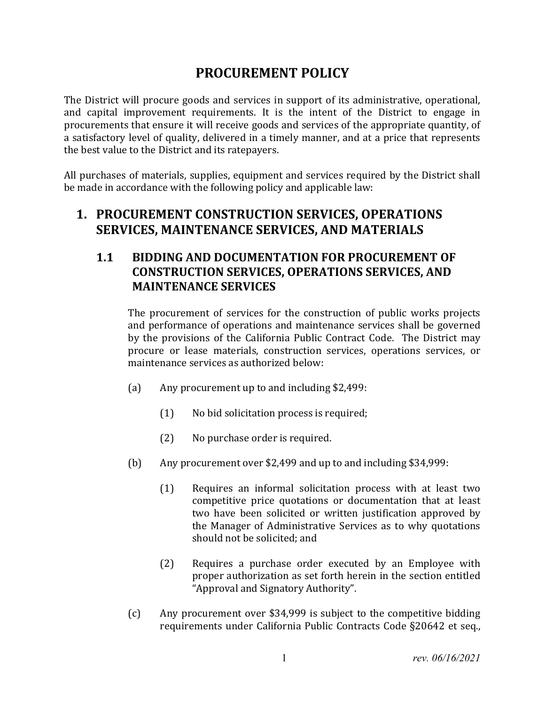# **PROCUREMENT POLICY**

The District will procure goods and services in support of its administrative, operational, and capital improvement requirements. It is the intent of the District to engage in procurements that ensure it will receive goods and services of the appropriate quantity, of a satisfactory level of quality, delivered in a timely manner, and at a price that represents the best value to the District and its ratepayers.

All purchases of materials, supplies, equipment and services required by the District shall be made in accordance with the following policy and applicable law:

#### **1. PROCUREMENT CONSTRUCTION SERVICES, OPERATIONS SERVICES, MAINTENANCE SERVICES, AND MATERIALS**

#### **1.1 BIDDING AND DOCUMENTATION FOR PROCUREMENT OF CONSTRUCTION SERVICES, OPERATIONS SERVICES, AND MAINTENANCE SERVICES**

The procurement of services for the construction of public works projects and performance of operations and maintenance services shall be governed by the provisions of the California Public Contract Code. The District may procure or lease materials, construction services, operations services, or maintenance services as authorized below:

- (a) Any procurement up to and including \$2,499:
	- (1) No bid solicitation process is required;
	- (2) No purchase order is required.
- (b) Any procurement over \$2,499 and up to and including \$34,999:
	- (1) Requires an informal solicitation process with at least two competitive price quotations or documentation that at least two have been solicited or written justification approved by the Manager of Administrative Services as to why quotations should not be solicited; and
	- (2) Requires a purchase order executed by an Employee with proper authorization as set forth herein in the section entitled "Approval and Signatory Authority".
- (c) Any procurement over \$34,999 is subject to the competitive bidding requirements under California Public Contracts Code §20642 et seq.,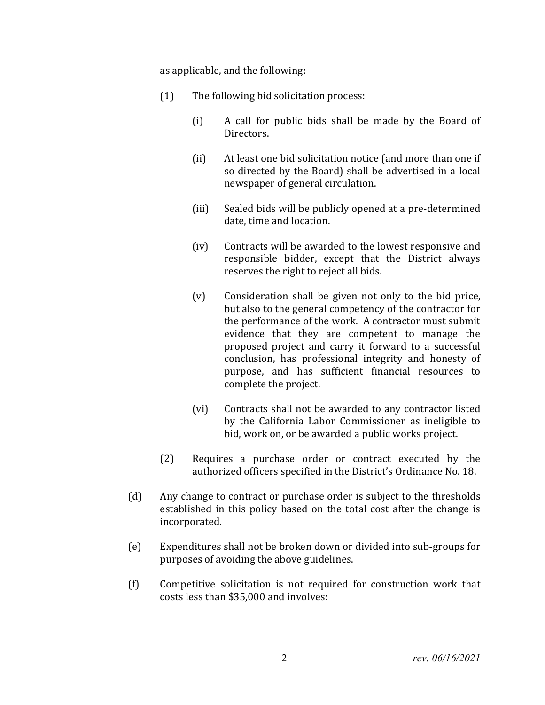as applicable, and the following:

- (1) The following bid solicitation process:
	- (i) A call for public bids shall be made by the Board of Directors.
	- (ii) At least one bid solicitation notice (and more than one if so directed by the Board) shall be advertised in a local newspaper of general circulation.
	- (iii) Sealed bids will be publicly opened at a pre-determined date, time and location.
	- (iv) Contracts will be awarded to the lowest responsive and responsible bidder, except that the District always reserves the right to reject all bids.
	- (v) Consideration shall be given not only to the bid price, but also to the general competency of the contractor for the performance of the work. A contractor must submit evidence that they are competent to manage the proposed project and carry it forward to a successful conclusion, has professional integrity and honesty of purpose, and has sufficient financial resources to complete the project.
	- (vi) Contracts shall not be awarded to any contractor listed by the California Labor Commissioner as ineligible to bid, work on, or be awarded a public works project.
- (2) Requires a purchase order or contract executed by the authorized officers specified in the District's Ordinance No. 18.
- (d) Any change to contract or purchase order is subject to the thresholds established in this policy based on the total cost after the change is incorporated.
- (e) Expenditures shall not be broken down or divided into sub-groups for purposes of avoiding the above guidelines.
- (f) Competitive solicitation is not required for construction work that costs less than \$35,000 and involves: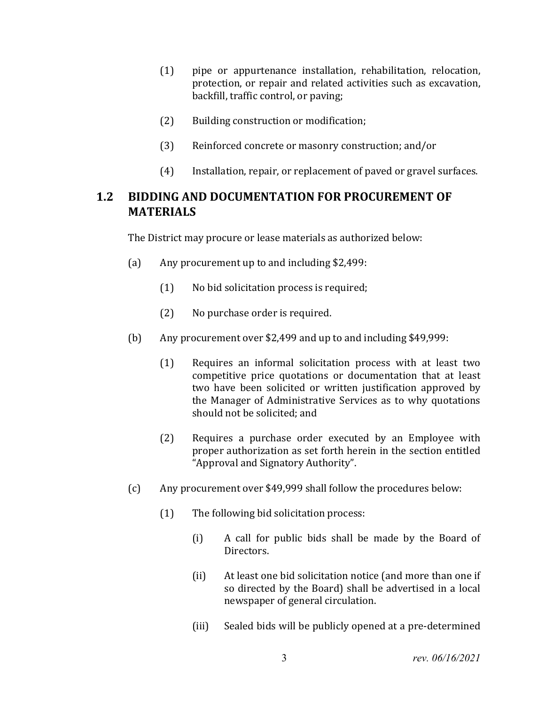- (1) pipe or appurtenance installation, rehabilitation, relocation, protection, or repair and related activities such as excavation, backfill, traffic control, or paving;
- (2) Building construction or modification;
- (3) Reinforced concrete or masonry construction; and/or
- (4) Installation, repair, or replacement of paved or gravel surfaces.

#### **1.2 BIDDING AND DOCUMENTATION FOR PROCUREMENT OF MATERIALS**

The District may procure or lease materials as authorized below:

- (a) Any procurement up to and including \$2,499:
	- (1) No bid solicitation process is required;
	- (2) No purchase order is required.
- (b) Any procurement over \$2,499 and up to and including \$49,999:
	- (1) Requires an informal solicitation process with at least two competitive price quotations or documentation that at least two have been solicited or written justification approved by the Manager of Administrative Services as to why quotations should not be solicited; and
	- (2) Requires a purchase order executed by an Employee with proper authorization as set forth herein in the section entitled "Approval and Signatory Authority".
- (c) Any procurement over \$49,999 shall follow the procedures below:
	- (1) The following bid solicitation process:
		- (i) A call for public bids shall be made by the Board of Directors.
		- (ii) At least one bid solicitation notice (and more than one if so directed by the Board) shall be advertised in a local newspaper of general circulation.
		- (iii) Sealed bids will be publicly opened at a pre-determined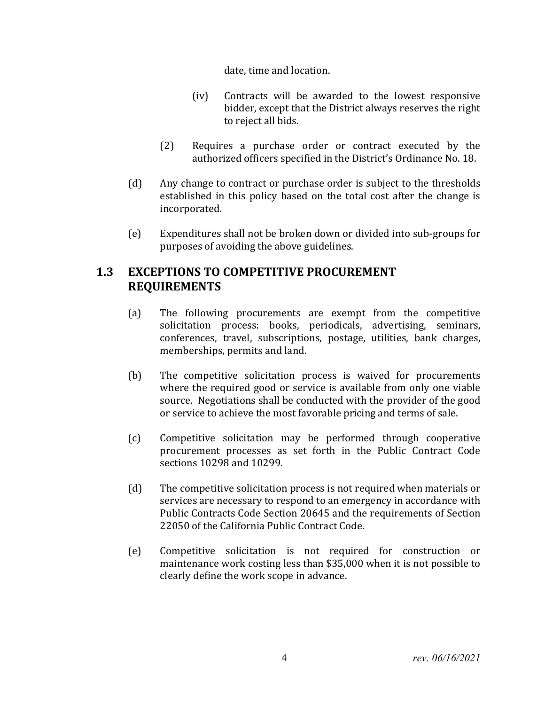date, time and location.

- (iv) Contracts will be awarded to the lowest responsive bidder, except that the District always reserves the right to reject all bids.
- (2) Requires a purchase order or contract executed by the authorized officers specified in the District's Ordinance No. 18.
- (d) Any change to contract or purchase order is subject to the thresholds established in this policy based on the total cost after the change is incorporated.
- (e) Expenditures shall not be broken down or divided into sub-groups for purposes of avoiding the above guidelines.

#### **1.3 EXCEPTIONS TO COMPETITIVE PROCUREMENT REQUIREMENTS**

- (a) The following procurements are exempt from the competitive solicitation process: books, periodicals, advertising, seminars, conferences, travel, subscriptions, postage, utilities, bank charges, memberships, permits and land.
- (b) The competitive solicitation process is waived for procurements where the required good or service is available from only one viable source. Negotiations shall be conducted with the provider of the good or service to achieve the most favorable pricing and terms of sale.
- (c) Competitive solicitation may be performed through cooperative procurement processes as set forth in the Public Contract Code sections 10298 and 10299.
- (d) The competitive solicitation process is not required when materials or services are necessary to respond to an emergency in accordance with Public Contracts Code Section 20645 and the requirements of Section 22050 of the California Public Contract Code.
- (e) Competitive solicitation is not required for construction or maintenance work costing less than \$35,000 when it is not possible to clearly define the work scope in advance.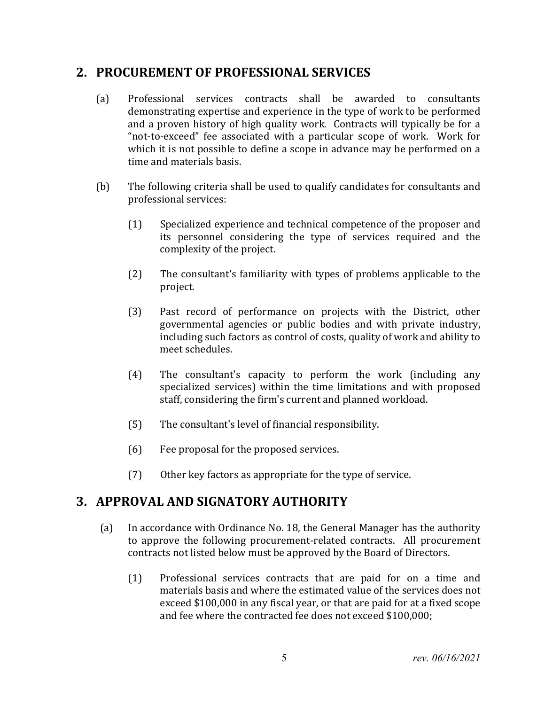### **2. PROCUREMENT OF PROFESSIONAL SERVICES**

- (a) Professional services contracts shall be awarded to consultants demonstrating expertise and experience in the type of work to be performed and a proven history of high quality work. Contracts will typically be for a "not-to-exceed" fee associated with a particular scope of work. Work for which it is not possible to define a scope in advance may be performed on a time and materials basis.
- (b) The following criteria shall be used to qualify candidates for consultants and professional services:
	- (1) Specialized experience and technical competence of the proposer and its personnel considering the type of services required and the complexity of the project.
	- (2) The consultant's familiarity with types of problems applicable to the project.
	- (3) Past record of performance on projects with the District, other governmental agencies or public bodies and with private industry, including such factors as control of costs, quality of work and ability to meet schedules.
	- (4) The consultant's capacity to perform the work (including any specialized services) within the time limitations and with proposed staff, considering the firm's current and planned workload.
	- (5) The consultant's level of financial responsibility.
	- (6) Fee proposal for the proposed services.
	- (7) Other key factors as appropriate for the type of service.

#### **3. APPROVAL AND SIGNATORY AUTHORITY**

- (a) In accordance with Ordinance No. 18, the General Manager has the authority to approve the following procurement-related contracts. All procurement contracts not listed below must be approved by the Board of Directors.
	- (1) Professional services contracts that are paid for on a time and materials basis and where the estimated value of the services does not exceed \$100,000 in any fiscal year, or that are paid for at a fixed scope and fee where the contracted fee does not exceed \$100,000;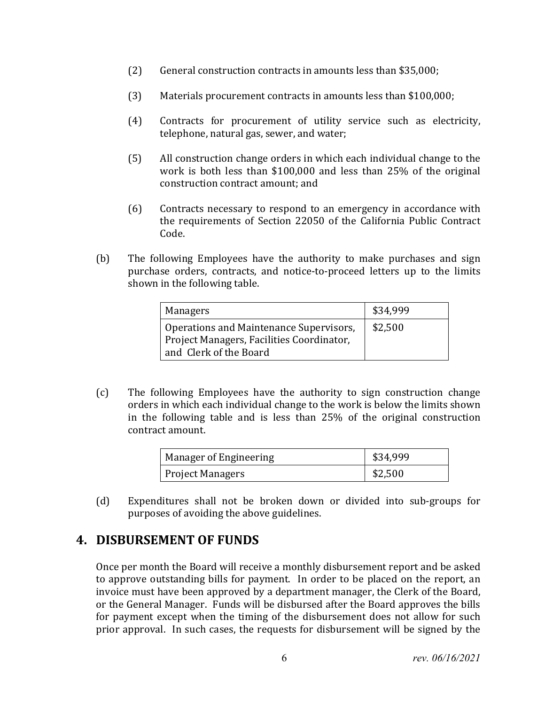- (2) General construction contracts in amounts less than \$35,000;
- (3) Materials procurement contracts in amounts less than \$100,000;
- (4) Contracts for procurement of utility service such as electricity, telephone, natural gas, sewer, and water;
- (5) All construction change orders in which each individual change to the work is both less than \$100,000 and less than 25% of the original construction contract amount; and
- (6) Contracts necessary to respond to an emergency in accordance with the requirements of Section 22050 of the California Public Contract Code.
- (b) The following Employees have the authority to make purchases and sign purchase orders, contracts, and notice-to-proceed letters up to the limits shown in the following table.

| Managers                                                                                                       | \$34,999 |
|----------------------------------------------------------------------------------------------------------------|----------|
| Operations and Maintenance Supervisors,<br>Project Managers, Facilities Coordinator,<br>and Clerk of the Board | \$2,500  |

(c) The following Employees have the authority to sign construction change orders in which each individual change to the work is below the limits shown in the following table and is less than 25% of the original construction contract amount.

| Manager of Engineering  | \$34,999 |
|-------------------------|----------|
| <b>Project Managers</b> | \$2,500  |

(d) Expenditures shall not be broken down or divided into sub-groups for purposes of avoiding the above guidelines.

## **4. DISBURSEMENT OF FUNDS**

Once per month the Board will receive a monthly disbursement report and be asked to approve outstanding bills for payment. In order to be placed on the report, an invoice must have been approved by a department manager, the Clerk of the Board, or the General Manager. Funds will be disbursed after the Board approves the bills for payment except when the timing of the disbursement does not allow for such prior approval. In such cases, the requests for disbursement will be signed by the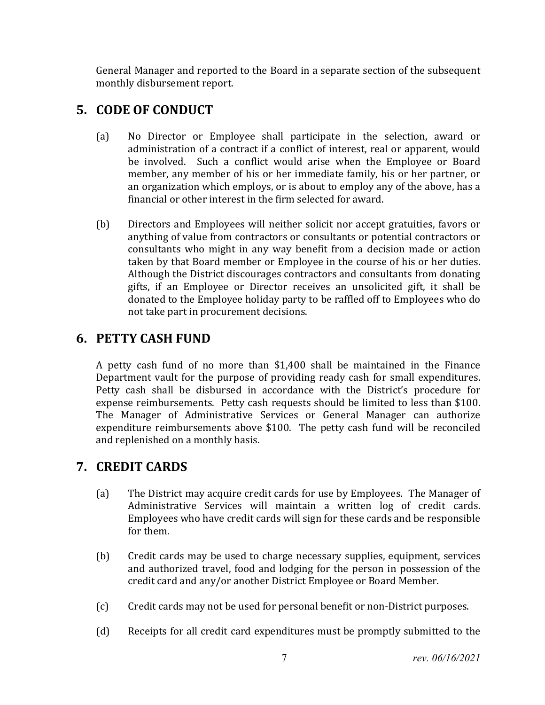General Manager and reported to the Board in a separate section of the subsequent monthly disbursement report.

# **5. CODE OF CONDUCT**

- (a) No Director or Employee shall participate in the selection, award or administration of a contract if a conflict of interest, real or apparent, would be involved. Such a conflict would arise when the Employee or Board member, any member of his or her immediate family, his or her partner, or an organization which employs, or is about to employ any of the above, has a financial or other interest in the firm selected for award.
- (b) Directors and Employees will neither solicit nor accept gratuities, favors or anything of value from contractors or consultants or potential contractors or consultants who might in any way benefit from a decision made or action taken by that Board member or Employee in the course of his or her duties. Although the District discourages contractors and consultants from donating gifts, if an Employee or Director receives an unsolicited gift, it shall be donated to the Employee holiday party to be raffled off to Employees who do not take part in procurement decisions.

# **6. PETTY CASH FUND**

A petty cash fund of no more than \$1,400 shall be maintained in the Finance Department vault for the purpose of providing ready cash for small expenditures. Petty cash shall be disbursed in accordance with the District's procedure for expense reimbursements. Petty cash requests should be limited to less than \$100. The Manager of Administrative Services or General Manager can authorize expenditure reimbursements above \$100. The petty cash fund will be reconciled and replenished on a monthly basis.

# **7. CREDIT CARDS**

- (a) The District may acquire credit cards for use by Employees. The Manager of Administrative Services will maintain a written log of credit cards. Employees who have credit cards will sign for these cards and be responsible for them.
- (b) Credit cards may be used to charge necessary supplies, equipment, services and authorized travel, food and lodging for the person in possession of the credit card and any/or another District Employee or Board Member.
- (c) Credit cards may not be used for personal benefit or non-District purposes.
- (d) Receipts for all credit card expenditures must be promptly submitted to the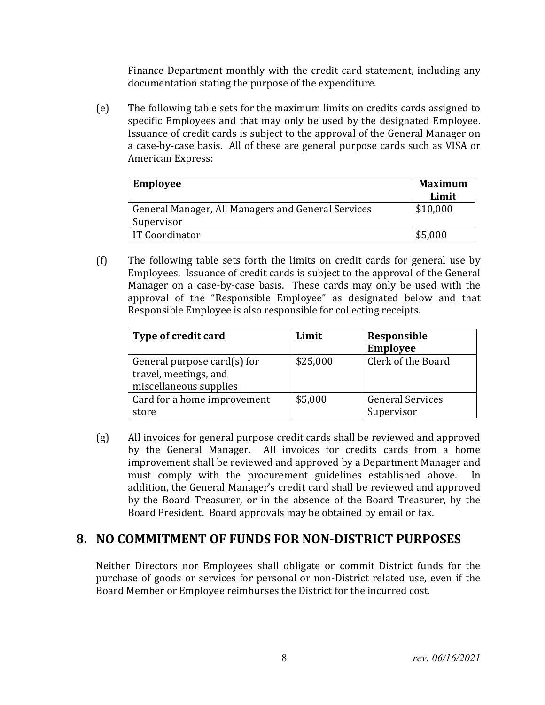Finance Department monthly with the credit card statement, including any documentation stating the purpose of the expenditure.

(e) The following table sets for the maximum limits on credits cards assigned to specific Employees and that may only be used by the designated Employee. Issuance of credit cards is subject to the approval of the General Manager on a case-by-case basis. All of these are general purpose cards such as VISA or American Express:

| <b>Employee</b>                                    | <b>Maximum</b> |
|----------------------------------------------------|----------------|
|                                                    | Limit          |
| General Manager, All Managers and General Services | \$10,000       |
| Supervisor                                         |                |
| IT Coordinator                                     | \$5,000        |

(f) The following table sets forth the limits on credit cards for general use by Employees. Issuance of credit cards is subject to the approval of the General Manager on a case-by-case basis. These cards may only be used with the approval of the "Responsible Employee" as designated below and that Responsible Employee is also responsible for collecting receipts.

| Type of credit card                                                               | Limit    | Responsible<br><b>Employee</b>        |
|-----------------------------------------------------------------------------------|----------|---------------------------------------|
| General purpose card $(s)$ for<br>travel, meetings, and<br>miscellaneous supplies | \$25,000 | Clerk of the Board                    |
| Card for a home improvement<br>store                                              | \$5,000  | <b>General Services</b><br>Supervisor |

(g) All invoices for general purpose credit cards shall be reviewed and approved by the General Manager. All invoices for credits cards from a home improvement shall be reviewed and approved by a Department Manager and must comply with the procurement guidelines established above. In addition, the General Manager's credit card shall be reviewed and approved by the Board Treasurer, or in the absence of the Board Treasurer, by the Board President. Board approvals may be obtained by email or fax.

## **8. NO COMMITMENT OF FUNDS FOR NON‐DISTRICT PURPOSES**

Neither Directors nor Employees shall obligate or commit District funds for the purchase of goods or services for personal or non-District related use, even if the Board Member or Employee reimburses the District for the incurred cost.